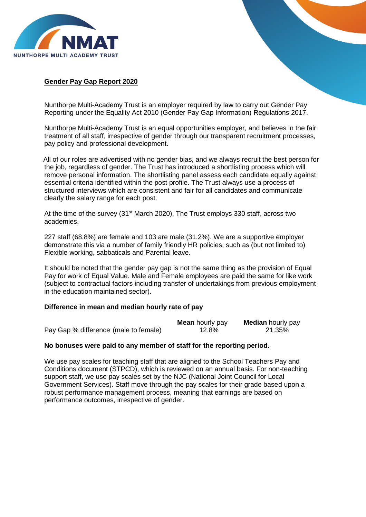

## **Gender Pay Gap Report 2020**

Nunthorpe Multi-Academy Trust is an employer required by law to carry out Gender Pay Reporting under the Equality Act 2010 (Gender Pay Gap Information) Regulations 2017.

Nunthorpe Multi-Academy Trust is an equal opportunities employer, and believes in the fair treatment of all staff, irrespective of gender through our transparent recruitment processes, pay policy and professional development.

All of our roles are advertised with no gender bias, and we always recruit the best person for the job, regardless of gender. The Trust has introduced a shortlisting process which will remove personal information. The shortlisting panel assess each candidate equally against essential criteria identified within the post profile. The Trust always use a process of structured interviews which are consistent and fair for all candidates and communicate clearly the salary range for each post.

At the time of the survey (31<sup>st</sup> March 2020), The Trust employs 330 staff, across two academies.

227 staff (68.8%) are female and 103 are male (31.2%). We are a supportive employer demonstrate this via a number of family friendly HR policies, such as (but not limited to) Flexible working, sabbaticals and Parental leave.

It should be noted that the gender pay gap is not the same thing as the provision of Equal Pay for work of Equal Value. Male and Female employees are paid the same for like work (subject to contractual factors including transfer of undertakings from previous employment in the education maintained sector).

## **Difference in mean and median hourly rate of pay**

|                                       | <b>Mean</b> hourly pay | <b>Median</b> hourly pay |
|---------------------------------------|------------------------|--------------------------|
| Pay Gap % difference (male to female) | 12.8%                  | 21.35%                   |

## **No bonuses were paid to any member of staff for the reporting period.**

We use pay scales for teaching staff that are aligned to the School Teachers Pay and Conditions document (STPCD), which is reviewed on an annual basis. For non-teaching support staff, we use pay scales set by the NJC (National Joint Council for Local Government Services). Staff move through the pay scales for their grade based upon a robust performance management process, meaning that earnings are based on performance outcomes, irrespective of gender.